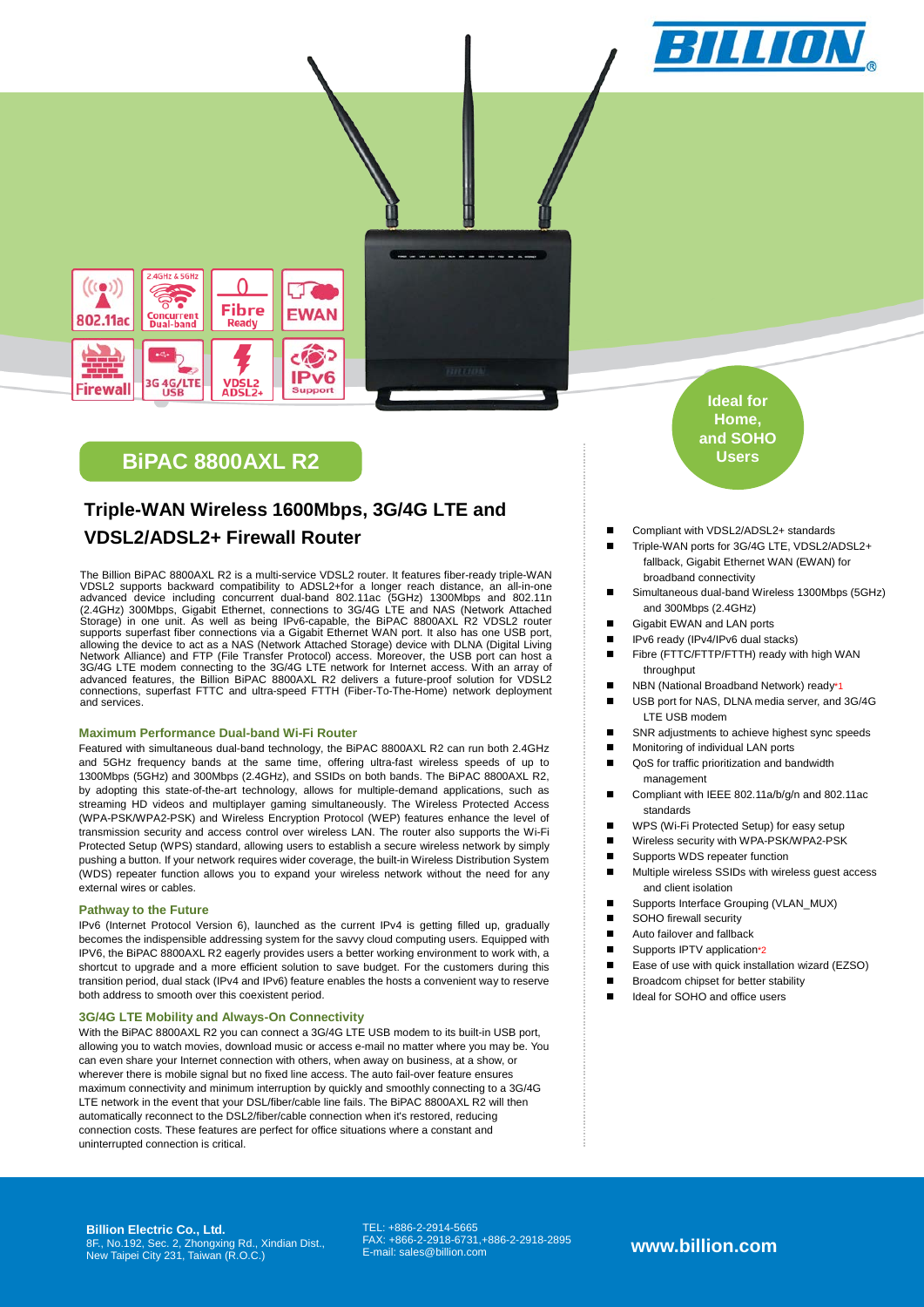



# **BiPAC 8800AXL R2**

# **Triple-WAN Wireless 1600Mbps, 3G/4G LTE and VDSL2/ADSL2+ Firewall Router**

The Billion BiPAC 8800AXL R2 is a multi-service VDSL2 router. It features fiber-ready triple-WAN VDSL2 supports backward compatibility to ADSL2+for a longer reach distance, an all-in-one<br>advanced device including concurrent dual-band 802.11ac (5GHz) 1300Mbps and 802.11n<br>(2.4GHz) 300Mbps, Gigabit Ethernet, connections Storage) in one unit. As well as being IPv6-capable, the BiPAC 8800AXL R2 VDSL2 router<br>supports superfast fiber connections via a Gigabit Ethernet WAN port. It also has one USB port,<br>allowing the device to act as a NAS (Ne Network Alliance) and FTP (File Transfer Protocol) access. Moreover, the USB port can host a<br>3G/4G LTE modem connecting to the 3G/4G LTE network for Internet access. With an array of<br>advanced features, the Billion BiPAC 88 connections, superfast FTTC and ultra-speed FTTH (Fiber-To-The-Home) network deployment and services.

### **Maximum Performance Dual-band Wi-Fi Router**

Featured with simultaneous dual-band technology, the BiPAC 8800AXL R2 can run both 2.4GHz and 5GHz frequency bands at the same time, offering ultra-fast wireless speeds of up to 1300Mbps (5GHz) and 300Mbps (2.4GHz), and SSIDs on both bands. The BiPAC 8800AXL R2, by adopting this state-of-the-art technology, allows for multiple-demand applications, such as streaming HD videos and multiplayer gaming simultaneously. The Wireless Protected Access (WPA-PSK/WPA2-PSK) and Wireless Encryption Protocol (WEP) features enhance the level of transmission security and access control over wireless LAN. The router also supports the Wi-Fi Protected Setup (WPS) standard, allowing users to establish a secure wireless network by simply pushing a button. If your network requires wider coverage, the built-in Wireless Distribution System (WDS) repeater function allows you to expand your wireless network without the need for any external wires or cables.

# **Pathway to the Future**

IPv6 (Internet Protocol Version 6), launched as the current IPv4 is getting filled up, gradually becomes the indispensible addressing system for the savvy cloud computing users. Equipped with IPV6, the BiPAC 8800AXL R2 eagerly provides users a better working environment to work with, a shortcut to upgrade and a more efficient solution to save budget. For the customers during this transition period, dual stack (IPv4 and IPv6) feature enables the hosts a convenient way to reserve both address to smooth over this coexistent period.

#### **3G/4G LTE Mobility and Always-On Connectivity**

With the BiPAC 8800AXL R2 you can connect a 3G/4G LTE USB modem to its built-in USB port, allowing you to watch movies, download music or access e-mail no matter where you may be. You can even share your Internet connection with others, when away on business, at a show, or wherever there is mobile signal but no fixed line access. The auto fail-over feature ensures maximum connectivity and minimum interruption by quickly and smoothly connecting to a 3G/4G LTE network in the event that your DSL/fiber/cable line fails. The BiPAC 8800AXL R2 will then automatically reconnect to the DSL2/fiber/cable connection when it's restored, reducing connection costs. These features are perfect for office situations where a constant and uninterrupted connection is critical.

**Ideal for Home, and SOHO Users**

- Compliant with VDSL2/ADSL2+ standards
- Triple-WAN ports for 3G/4G LTE, VDSL2/ADSL2+ fallback, Gigabit Ethernet WAN (EWAN) for broadband connectivity
- Simultaneous dual-band Wireless 1300Mbps (5GHz) and 300Mbps (2.4GHz)
- Gigabit EWAN and LAN ports
- IPv6 ready (IPv4/IPv6 dual stacks)
- Fibre (FTTC/FTTP/FTTH) ready with high WAN throughput
- NBN (National Broadband Network) ready\*1
- USB port for NAS, DLNA media server, and 3G/4G LTE USB modem
- SNR adjustments to achieve highest sync speeds
- **Monitoring of individual LAN ports**
- QoS for traffic prioritization and bandwidth management
- Compliant with IEEE 802.11a/b/g/n and 802.11ac standards
- WPS (Wi-Fi Protected Setup) for easy setup
- Wireless security with WPA-PSK/WPA2-PSK
- Supports WDS repeater function
- Multiple wireless SSIDs with wireless quest access and client isolation
- Supports Interface Grouping (VLAN\_MUX)
- SOHO firewall security
- **Auto failover and fallback**
- Supports IPTV application\*2
- Ease of use with quick installation wizard (EZSO)
- Broadcom chipset for better stability
- 
- Ideal for SOHO and office users

**Billion Electric Co., Ltd.** 8F., No.192, Sec. 2, Zhongxing Rd., Xindian Dist., New Taipei City 231, Taiwan (R.O.C.) TEL: +886-2-2914-5665 FAX: +866-2-2918-6731,+886-2-2918-2895 E-mail: sales@billion.com **www.billion.com**